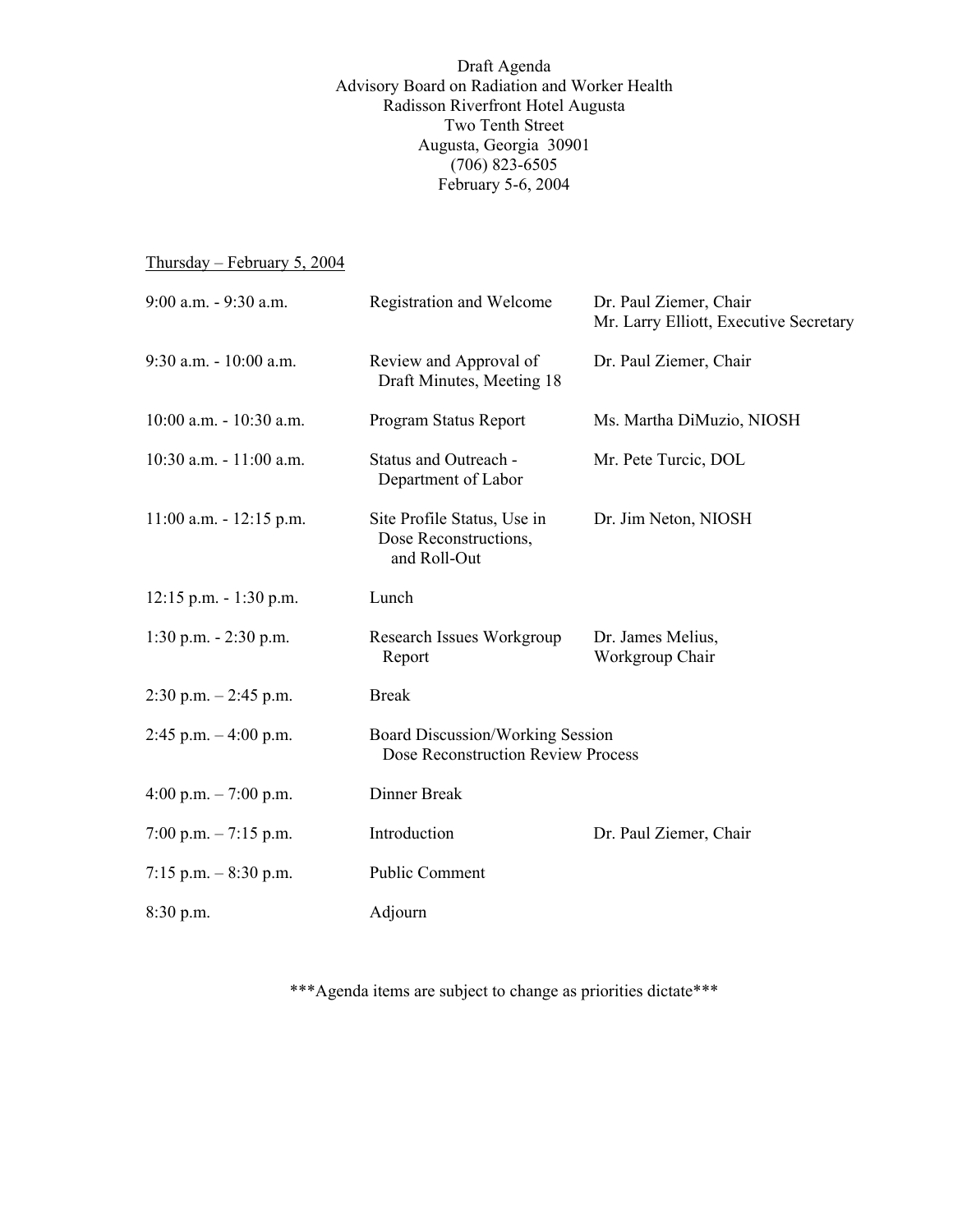Draft Agenda Advisory Board on Radiation and Worker Health Radisson Riverfront Hotel Augusta Two Tenth Street Augusta, Georgia 30901  $(706)$  823-6505 February 5-6, 2004

## Thursday – February 5, 2004

| 9:00 a.m. - 9:30 a.m.      | <b>Registration and Welcome</b>                                        | Dr. Paul Ziemer, Chair<br>Mr. Larry Elliott, Executive Secretary |
|----------------------------|------------------------------------------------------------------------|------------------------------------------------------------------|
| 9:30 a.m. - 10:00 a.m.     | Review and Approval of<br>Draft Minutes, Meeting 18                    | Dr. Paul Ziemer, Chair                                           |
| 10:00 a.m. - 10:30 a.m.    | Program Status Report                                                  | Ms. Martha DiMuzio, NIOSH                                        |
| 10:30 a.m. - 11:00 a.m.    | Status and Outreach -<br>Department of Labor                           | Mr. Pete Turcic, DOL                                             |
| $11:00$ a.m. $-12:15$ p.m. | Site Profile Status, Use in<br>Dose Reconstructions,<br>and Roll-Out   | Dr. Jim Neton, NIOSH                                             |
| $12:15$ p.m. $-1:30$ p.m.  | Lunch                                                                  |                                                                  |
| $1:30$ p.m. $- 2:30$ p.m.  | Research Issues Workgroup<br>Report                                    | Dr. James Melius,<br>Workgroup Chair                             |
| $2:30$ p.m. $-2:45$ p.m.   | <b>Break</b>                                                           |                                                                  |
| $2:45$ p.m. $-4:00$ p.m.   | Board Discussion/Working Session<br>Dose Reconstruction Review Process |                                                                  |
| 4:00 p.m. $-7:00$ p.m.     | Dinner Break                                                           |                                                                  |
| 7:00 p.m. $-7:15$ p.m.     | Introduction                                                           | Dr. Paul Ziemer, Chair                                           |
| 7:15 p.m. $-8:30$ p.m.     | Public Comment                                                         |                                                                  |
| $8:30$ p.m.                | Adjourn                                                                |                                                                  |

\*\*\*Agenda items are subject to change as priorities dictate\*\*\*